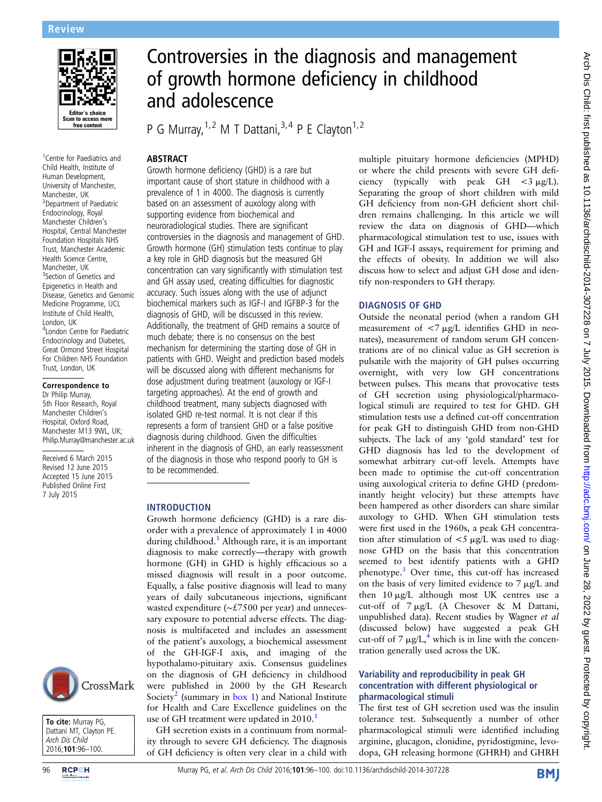

<sup>1</sup> Centre for Paediatrics and Child Health, Institute of Human Development, University of Manchester, Manchester, UK 2 Department of Paediatric Endocrinology, Royal Manchester Children's Hospital, Central Manchester Foundation Hospitals NHS Trust, Manchester Academic Health Science Centre, Manchester, UK <sup>3</sup>Section of Genetics and Epigenetics in Health and Disease, Genetics and Genomic Medicine Programme, UCL Institute of Child Health, London, UK 4 London Centre for Paediatric Endocrinology and Diabetes, Great Ormond Street Hospital For Children NHS Foundation Trust, London, UK

# Correspondence to

Dr Philip Murray, 5th Floor Research, Royal Manchester Children's Hospital, Oxford Road, Manchester M13 9WL, UK; Philip.Murray@manchester.ac.uk

Received 6 March 2015 Revised 12 June 2015 Accepted 15 June 2015 Published Online First 7 July 2015





# Controversies in the diagnosis and management of growth hormone deficiency in childhood and adolescence

P G Murray,  $1, 2$  M T Dattani,  $3, 4$  P E Clayton<sup>1, 2</sup>

## **ARSTRACT**

Growth hormone deficiency (GHD) is a rare but important cause of short stature in childhood with a prevalence of 1 in 4000. The diagnosis is currently based on an assessment of auxology along with supporting evidence from biochemical and neuroradiological studies. There are significant controversies in the diagnosis and management of GHD. Growth hormone (GH) stimulation tests continue to play a key role in GHD diagnosis but the measured GH concentration can vary significantly with stimulation test and GH assay used, creating difficulties for diagnostic accuracy. Such issues along with the use of adjunct biochemical markers such as IGF-I and IGFBP-3 for the diagnosis of GHD, will be discussed in this review. Additionally, the treatment of GHD remains a source of much debate; there is no consensus on the best mechanism for determining the starting dose of GH in patients with GHD. Weight and prediction based models will be discussed along with different mechanisms for dose adjustment during treatment (auxology or IGF-I targeting approaches). At the end of growth and childhood treatment, many subjects diagnosed with isolated GHD re-test normal. It is not clear if this represents a form of transient GHD or a false positive diagnosis during childhood. Given the difficulties inherent in the diagnosis of GHD, an early reassessment of the diagnosis in those who respond poorly to GH is to be recommended.

## INTRODUCTION

Growth hormone deficiency (GHD) is a rare disorder with a prevalence of approximately 1 in 4000 during childhood.<sup>[1](#page-4-0)</sup> Although rare, it is an important diagnosis to make correctly—therapy with growth hormone (GH) in GHD is highly efficacious so a missed diagnosis will result in a poor outcome. Equally, a false positive diagnosis will lead to many years of daily subcutaneous injections, significant wasted expenditure (∼£7500 per year) and unnecessary exposure to potential adverse effects. The diagnosis is multifaceted and includes an assessment of the patient's auxology, a biochemical assessment of the GH-IGF-I axis, and imaging of the hypothalamo-pituitary axis. Consensus guidelines on the diagnosis of GH deficiency in childhood were published in 2000 by the GH Research Society<sup>[2](#page-4-0)</sup> (summary in [box 1\)](#page-1-0) and National Institute for Health and Care Excellence guidelines on the use of GH treatment were updated in 20[1](#page-4-0)0.<sup>1</sup>

GH secretion exists in a continuum from normality through to severe GH deficiency. The diagnosis of GH deficiency is often very clear in a child with multiple pituitary hormone deficiencies (MPHD) or where the child presents with severe GH deficiency (typically with peak GH  $\lt$ 3  $\mu$ g/L). Separating the group of short children with mild GH deficiency from non-GH deficient short children remains challenging. In this article we will review the data on diagnosis of GHD—which pharmacological stimulation test to use, issues with GH and IGF-I assays, requirement for priming and the effects of obesity. In addition we will also discuss how to select and adjust GH dose and identify non-responders to GH therapy.

## DIAGNOSIS OF GHD

Outside the neonatal period (when a random GH measurement of  $\langle 7 \mu g / L \rangle$  identifies GHD in neonates), measurement of random serum GH concentrations are of no clinical value as GH secretion is pulsatile with the majority of GH pulses occurring overnight, with very low GH concentrations between pulses. This means that provocative tests of GH secretion using physiological/pharmacological stimuli are required to test for GHD. GH stimulation tests use a defined cut-off concentration for peak GH to distinguish GHD from non-GHD subjects. The lack of any 'gold standard' test for GHD diagnosis has led to the development of somewhat arbitrary cut-off levels. Attempts have been made to optimise the cut-off concentration using auxological criteria to define GHD (predominantly height velocity) but these attempts have been hampered as other disorders can share similar auxology to GHD. When GH stimulation tests were first used in the 1960s, a peak GH concentration after stimulation of  $\lt 5$   $\mu$ g/L was used to diagnose GHD on the basis that this concentration seemed to best identify patients with a GHD phenotype[.3](#page-4-0) Over time, this cut-off has increased on the basis of very limited evidence to  $7 \mu g/L$  and then  $10 \mu g/L$  although most UK centres use a cut-off of  $7 \mu g/L$  (A Chesover & M Dattani, unpublished data). Recent studies by Wagner et al (discussed below) have suggested a peak GH cut-off of 7  $\mu$ g/L,<sup>[4](#page-4-0)</sup> which is in line with the concentration generally used across the UK.

## Variability and reproducibility in peak GH concentration with different physiological or pharmacological stimuli

The first test of GH secretion used was the insulin tolerance test. Subsequently a number of other pharmacological stimuli were identified including arginine, glucagon, clonidine, pyridostigmine, levodopa, GH releasing hormone (GHRH) and GHRH

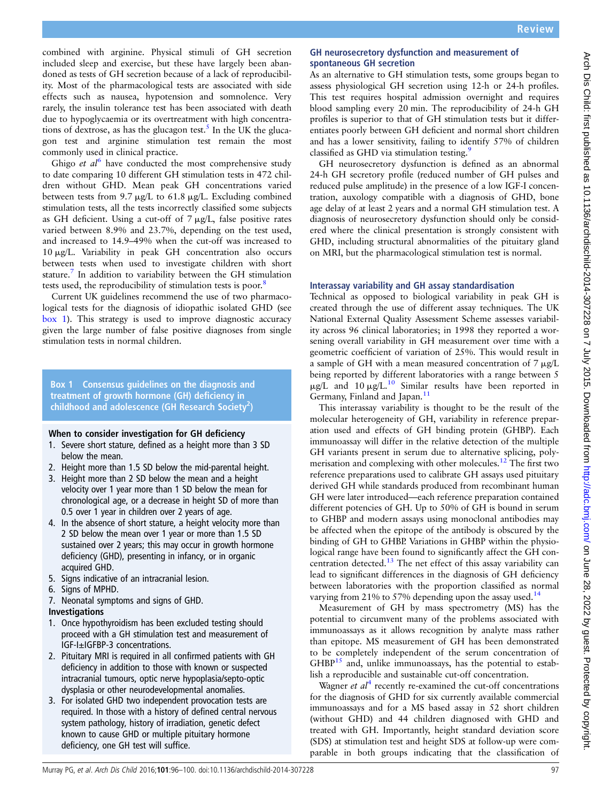<span id="page-1-0"></span>combined with arginine. Physical stimuli of GH secretion included sleep and exercise, but these have largely been abandoned as tests of GH secretion because of a lack of reproducibility. Most of the pharmacological tests are associated with side effects such as nausea, hypotension and somnolence. Very rarely, the insulin tolerance test has been associated with death due to hypoglycaemia or its overtreatment with high concentra-tions of dextrose, as has the glucagon test.<sup>[5](#page-4-0)</sup> In the UK the glucagon test and arginine stimulation test remain the most commonly used in clinical practice.

Ghigo et  $d^{6}$  $d^{6}$  $d^{6}$  have conducted the most comprehensive study to date comparing 10 different GH stimulation tests in 472 children without GHD. Mean peak GH concentrations varied between tests from 9.7  $\mu$ g/L to 61.8  $\mu$ g/L. Excluding combined stimulation tests, all the tests incorrectly classified some subjects as GH deficient. Using a cut-off of  $7 \mu g/L$ , false positive rates varied between 8.9% and 23.7%, depending on the test used, and increased to 14.9–49% when the cut-off was increased to 10 mg/L. Variability in peak GH concentration also occurs between tests when used to investigate children with short stature.<sup>[7](#page-4-0)</sup> In addition to variability between the GH stimulation tests used, the reproducibility of stimulation tests is poor.<sup>8</sup>

Current UK guidelines recommend the use of two pharmacological tests for the diagnosis of idiopathic isolated GHD (see box 1). This strategy is used to improve diagnostic accuracy given the large number of false positive diagnoses from single stimulation tests in normal children.

## Box 1 Consensus guidelines on the diagnosis and treatment of growth hormone (GH) deficiency in childhood and adolescence (GH Research Society<sup>2</sup>)

#### When to consider investigation for GH deficiency

- 1. Severe short stature, defined as a height more than 3 SD below the mean.
- 2. Height more than 1.5 SD below the mid-parental height.
- 3. Height more than 2 SD below the mean and a height velocity over 1 year more than 1 SD below the mean for chronological age, or a decrease in height SD of more than 0.5 over 1 year in children over 2 years of age.
- 4. In the absence of short stature, a height velocity more than 2 SD below the mean over 1 year or more than 1.5 SD sustained over 2 years; this may occur in growth hormone deficiency (GHD), presenting in infancy, or in organic acquired GHD.
- 5. Signs indicative of an intracranial lesion.
- 6. Signs of MPHD.
- 7. Neonatal symptoms and signs of GHD.

## Investigations

- 1. Once hypothyroidism has been excluded testing should proceed with a GH stimulation test and measurement of IGF-I±IGFBP-3 concentrations.
- 2. Pituitary MRI is required in all confirmed patients with GH deficiency in addition to those with known or suspected intracranial tumours, optic nerve hypoplasia/septo-optic dysplasia or other neurodevelopmental anomalies.
- 3. For isolated GHD two independent provocation tests are required. In those with a history of defined central nervous system pathology, history of irradiation, genetic defect known to cause GHD or multiple pituitary hormone deficiency, one GH test will suffice.

## GH neurosecretory dysfunction and measurement of spontaneous GH secretion

As an alternative to GH stimulation tests, some groups began to assess physiological GH secretion using 12-h or 24-h profiles. This test requires hospital admission overnight and requires blood sampling every 20 min. The reproducibility of 24-h GH profiles is superior to that of GH stimulation tests but it differentiates poorly between GH deficient and normal short children and has a lower sensitivity, failing to identify 57% of children classified as GHD via stimulation testing.<sup>9</sup>

GH neurosecretory dysfunction is defined as an abnormal 24-h GH secretory profile (reduced number of GH pulses and reduced pulse amplitude) in the presence of a low IGF-I concentration, auxology compatible with a diagnosis of GHD, bone age delay of at least 2 years and a normal GH stimulation test. A diagnosis of neurosecretory dysfunction should only be considered where the clinical presentation is strongly consistent with GHD, including structural abnormalities of the pituitary gland on MRI, but the pharmacological stimulation test is normal.

## Interassay variability and GH assay standardisation

Technical as opposed to biological variability in peak GH is created through the use of different assay techniques. The UK National External Quality Assessment Scheme assesses variability across 96 clinical laboratories; in 1998 they reported a worsening overall variability in GH measurement over time with a geometric coefficient of variation of 25%. This would result in a sample of GH with a mean measured concentration of  $7 \mu g/L$ being reported by different laboratories with a range between 5  $\mu$ g/L and [10](#page-4-0)  $\mu$ g/L.<sup>10</sup> Similar results have been reported in Germany, Finland and Japan.<sup>[11](#page-4-0)</sup>

This interassay variability is thought to be the result of the molecular heterogeneity of GH, variability in reference preparation used and effects of GH binding protein (GHBP). Each immunoassay will differ in the relative detection of the multiple GH variants present in serum due to alternative splicing, polymerisation and complexing with other molecules[.12](#page-4-0) The first two reference preparations used to calibrate GH assays used pituitary derived GH while standards produced from recombinant human GH were later introduced—each reference preparation contained different potencies of GH. Up to 50% of GH is bound in serum to GHBP and modern assays using monoclonal antibodies may be affected when the epitope of the antibody is obscured by the binding of GH to GHBP. Variations in GHBP within the physiological range have been found to significantly affect the GH con-centration detected.<sup>[13](#page-4-0)</sup> The net effect of this assay variability can lead to significant differences in the diagnosis of GH deficiency between laboratories with the proportion classified as normal varying from 21% to 57% depending upon the assay used.<sup>[14](#page-4-0)</sup>

Measurement of GH by mass spectrometry (MS) has the potential to circumvent many of the problems associated with immunoassays as it allows recognition by analyte mass rather than epitope. MS measurement of GH has been demonstrated to be completely independent of the serum concentration of  $GHBP<sup>15</sup>$  $GHBP<sup>15</sup>$  $GHBP<sup>15</sup>$  and, unlike immunoassays, has the potential to establish a reproducible and sustainable cut-off concentration.

Wagner *et al*<sup>[4](#page-4-0)</sup> recently re-examined the cut-off concentrations for the diagnosis of GHD for six currently available commercial immunoassays and for a MS based assay in 52 short children (without GHD) and 44 children diagnosed with GHD and treated with GH. Importantly, height standard deviation score (SDS) at stimulation test and height SDS at follow-up were comparable in both groups indicating that the classification of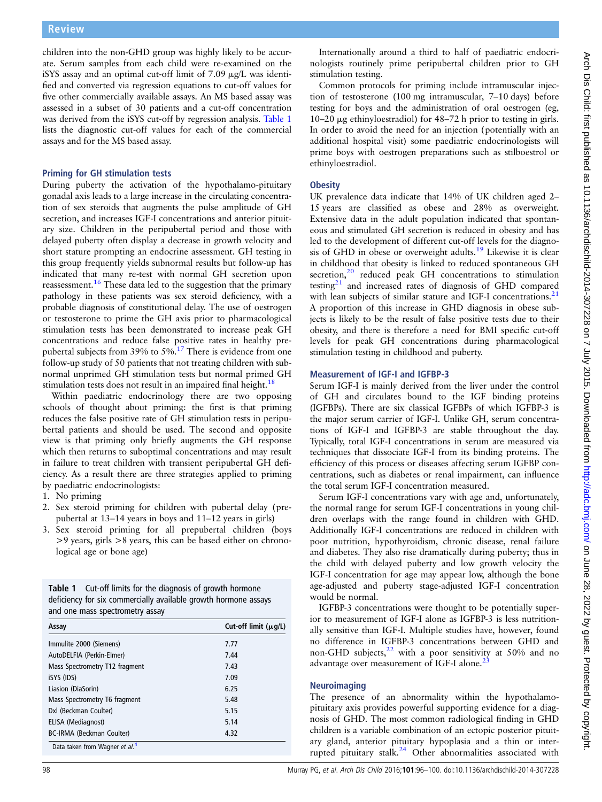<span id="page-2-0"></span>children into the non-GHD group was highly likely to be accurate. Serum samples from each child were re-examined on the iSYS assay and an optimal cut-off limit of  $7.09 \mu g/L$  was identified and converted via regression equations to cut-off values for five other commercially available assays. An MS based assay was assessed in a subset of 30 patients and a cut-off concentration was derived from the iSYS cut-off by regression analysis. Table 1 lists the diagnostic cut-off values for each of the commercial assays and for the MS based assay.

#### Priming for GH stimulation tests

During puberty the activation of the hypothalamo-pituitary gonadal axis leads to a large increase in the circulating concentration of sex steroids that augments the pulse amplitude of GH secretion, and increases IGF-I concentrations and anterior pituitary size. Children in the peripubertal period and those with delayed puberty often display a decrease in growth velocity and short stature prompting an endocrine assessment. GH testing in this group frequently yields subnormal results but follow-up has indicated that many re-test with normal GH secretion upon reassessment.[16](#page-4-0) These data led to the suggestion that the primary pathology in these patients was sex steroid deficiency, with a probable diagnosis of constitutional delay. The use of oestrogen or testosterone to prime the GH axis prior to pharmacological stimulation tests has been demonstrated to increase peak GH concentrations and reduce false positive rates in healthy prepubertal subjects from 39% to  $5\%$ .<sup>[17](#page-4-0)</sup> There is evidence from one follow-up study of 50 patients that not treating children with subnormal unprimed GH stimulation tests but normal primed GH stimulation tests does not result in an impaired final height.<sup>1</sup>

Within paediatric endocrinology there are two opposing schools of thought about priming: the first is that priming reduces the false positive rate of GH stimulation tests in peripubertal patients and should be used. The second and opposite view is that priming only briefly augments the GH response which then returns to suboptimal concentrations and may result in failure to treat children with transient peripubertal GH deficiency. As a result there are three strategies applied to priming by paediatric endocrinologists:

- 1. No priming
- 2. Sex steroid priming for children with pubertal delay (prepubertal at 13–14 years in boys and 11–12 years in girls)
- 3. Sex steroid priming for all prepubertal children (boys >9 years, girls >8 years, this can be based either on chronological age or bone age)

| <b>Table 1</b> Cut-off limits for the diagnosis of growth hormone |
|-------------------------------------------------------------------|
| deficiency for six commercially available growth hormone assays   |
| and one mass spectrometry assay                                   |

| Assay                          | Cut-off limit $(\mu q/L)$<br>7.77 |
|--------------------------------|-----------------------------------|
| Immulite 2000 (Siemens)        |                                   |
| AutoDELFIA (Perkin-Elmer)      | 7.44                              |
| Mass Spectrometry T12 fragment | 7.43                              |
| iSYS (IDS)                     | 7.09                              |
| Liasion (DiaSorin)             | 6.25                              |
| Mass Spectrometry T6 fragment  | 5.48                              |
| Dxl (Beckman Coulter)          | 5.15                              |
| ELISA (Mediagnost)             | 5.14                              |
| BC-IRMA (Beckman Coulter)      | 4.32                              |

Internationally around a third to half of paediatric endocrinologists routinely prime peripubertal children prior to GH stimulation testing.

Common protocols for priming include intramuscular injection of testosterone (100 mg intramuscular, 7–10 days) before testing for boys and the administration of oral oestrogen (eg, 10–20  $\mu$ g ethinyloestradiol) for 48–72 h prior to testing in girls. In order to avoid the need for an injection (potentially with an additional hospital visit) some paediatric endocrinologists will prime boys with oestrogen preparations such as stilboestrol or ethinyloestradiol.

## **Obesity**

UK prevalence data indicate that 14% of UK children aged 2– 15 years are classified as obese and 28% as overweight. Extensive data in the adult population indicated that spontaneous and stimulated GH secretion is reduced in obesity and has led to the development of different cut-off levels for the diagno-sis of GHD in obese or overweight adults.<sup>[19](#page-4-0)</sup> Likewise it is clear in childhood that obesity is linked to reduced spontaneous GH secretion, $20$  reduced peak GH concentrations to stimulation testing $21$  and increased rates of diagnosis of GHD compared with lean subjects of similar stature and IGF-I concentrations.<sup>[21](#page-4-0)</sup> A proportion of this increase in GHD diagnosis in obese subjects is likely to be the result of false positive tests due to their obesity, and there is therefore a need for BMI specific cut-off levels for peak GH concentrations during pharmacological stimulation testing in childhood and puberty.

#### Measurement of IGF-I and IGFBP-3

Serum IGF-I is mainly derived from the liver under the control of GH and circulates bound to the IGF binding proteins (IGFBPs). There are six classical IGFBPs of which IGFBP-3 is the major serum carrier of IGF-I. Unlike GH, serum concentrations of IGF-I and IGFBP-3 are stable throughout the day. Typically, total IGF-I concentrations in serum are measured via techniques that dissociate IGF-I from its binding proteins. The efficiency of this process or diseases affecting serum IGFBP concentrations, such as diabetes or renal impairment, can influence the total serum IGF-I concentration measured.

Serum IGF-I concentrations vary with age and, unfortunately, the normal range for serum IGF-I concentrations in young children overlaps with the range found in children with GHD. Additionally IGF-I concentrations are reduced in children with poor nutrition, hypothyroidism, chronic disease, renal failure and diabetes. They also rise dramatically during puberty; thus in the child with delayed puberty and low growth velocity the IGF-I concentration for age may appear low, although the bone age-adjusted and puberty stage-adjusted IGF-I concentration would be normal.

IGFBP-3 concentrations were thought to be potentially superior to measurement of IGF-I alone as IGFBP-3 is less nutritionally sensitive than IGF-I. Multiple studies have, however, found no difference in IGFBP-3 concentrations between GHD and non-GHD subjects,<sup>[22](#page-4-0)</sup> with a poor sensitivity at 50% and no advantage over measurement of IGF-I alone.<sup>2</sup>

#### Neuroimaging

The presence of an abnormality within the hypothalamopituitary axis provides powerful supporting evidence for a diagnosis of GHD. The most common radiological finding in GHD children is a variable combination of an ectopic posterior pituitary gland, anterior pituitary hypoplasia and a thin or interrupted pituitary stalk.[24](#page-4-0) Other abnormalities associated with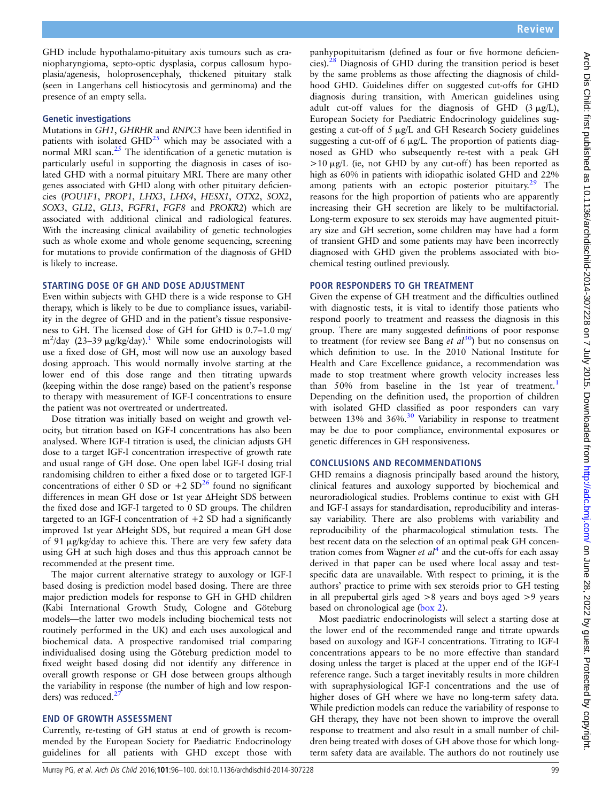GHD include hypothalamo-pituitary axis tumours such as craniopharyngioma, septo-optic dysplasia, corpus callosum hypoplasia/agenesis, holoprosencephaly, thickened pituitary stalk (seen in Langerhans cell histiocytosis and germinoma) and the presence of an empty sella.

## Genetic investigations

Mutations in GH1, GHRHR and RNPC3 have been identified in patients with isolated  $GHD^{25}$  $GHD^{25}$  $GHD^{25}$  which may be associated with a normal MRI scan. $25$  The identification of a genetic mutation is particularly useful in supporting the diagnosis in cases of isolated GHD with a normal pituitary MRI. There are many other genes associated with GHD along with other pituitary deficiencies (POU1F1, PROP1, LHX3, LHX4, HESX1, OTX2, SOX2, SOX3, GLI2, GLI3, FGFR1, FGF8 and PROKR2) which are associated with additional clinical and radiological features. With the increasing clinical availability of genetic technologies such as whole exome and whole genome sequencing, screening for mutations to provide confirmation of the diagnosis of GHD is likely to increase.

#### STARTING DOSE OF GH AND DOSE ADJUSTMENT

Even within subjects with GHD there is a wide response to GH therapy, which is likely to be due to compliance issues, variability in the degree of GHD and in the patient's tissue responsiveness to GH. The licensed dose of GH for GHD is 0.7–1.0 mg/  $m^2$ /day (23–39 µg/kg/day).<sup>[1](#page-4-0)</sup> While some endocrinologists will use a fixed dose of GH, most will now use an auxology based dosing approach. This would normally involve starting at the lower end of this dose range and then titrating upwards (keeping within the dose range) based on the patient's response to therapy with measurement of IGF-I concentrations to ensure the patient was not overtreated or undertreated.

Dose titration was initially based on weight and growth velocity, but titration based on IGF-I concentrations has also been analysed. Where IGF-I titration is used, the clinician adjusts GH dose to a target IGF-I concentration irrespective of growth rate and usual range of GH dose. One open label IGF-I dosing trial randomising children to either a fixed dose or to targeted IGF-I concentrations of either 0 SD or  $+2$  SD<sup>[26](#page-4-0)</sup> found no significant differences in mean GH dose or 1st year ΔHeight SDS between the fixed dose and IGF-I targeted to 0 SD groups. The children targeted to an IGF-I concentration of  $+2$  SD had a significantly improved 1st year ΔHeight SDS, but required a mean GH dose of 91 mg/kg/day to achieve this. There are very few safety data using GH at such high doses and thus this approach cannot be recommended at the present time.

The major current alternative strategy to auxology or IGF-I based dosing is prediction model based dosing. There are three major prediction models for response to GH in GHD children (Kabi International Growth Study, Cologne and Göteburg models—the latter two models including biochemical tests not routinely performed in the UK) and each uses auxological and biochemical data. A prospective randomised trial comparing individualised dosing using the Göteburg prediction model to fixed weight based dosing did not identify any difference in overall growth response or GH dose between groups although the variability in response (the number of high and low responders) was reduced. $<sup>2</sup>$ </sup>

#### END OF GROWTH ASSESSMENT

Currently, re-testing of GH status at end of growth is recommended by the European Society for Paediatric Endocrinology guidelines for all patients with GHD except those with

panhypopituitarism (defined as four or five hormone deficiencies).[28](#page-4-0) Diagnosis of GHD during the transition period is beset by the same problems as those affecting the diagnosis of childhood GHD. Guidelines differ on suggested cut-offs for GHD diagnosis during transition, with American guidelines using adult cut-off values for the diagnosis of GHD  $(3 \mu g/L)$ , European Society for Paediatric Endocrinology guidelines suggesting a cut-off of 5 mg/L and GH Research Society guidelines suggesting a cut-off of  $6 \mu g/L$ . The proportion of patients diagnosed as GHD who subsequently re-test with a peak GH  $>10 \mu g/L$  (ie, not GHD by any cut-off) has been reported as high as 60% in patients with idiopathic isolated GHD and 22% among patients with an ectopic posterior pituitary. $2^9$  The reasons for the high proportion of patients who are apparently increasing their GH secretion are likely to be multifactorial. Long-term exposure to sex steroids may have augmented pituitary size and GH secretion, some children may have had a form of transient GHD and some patients may have been incorrectly diagnosed with GHD given the problems associated with biochemical testing outlined previously.

#### POOR RESPONDERS TO GH TREATMENT

Given the expense of GH treatment and the difficulties outlined with diagnostic tests, it is vital to identify those patients who respond poorly to treatment and reassess the diagnosis in this group. There are many suggested definitions of poor response to treatment (for review see Bang et  $al^{30}$ ) but no consensus on which definition to use. In the 2010 National Institute for Health and Care Excellence guidance, a recommendation was made to stop treatment where growth velocity increases less than 50% from baseline in the [1](#page-4-0)st year of treatment.<sup>1</sup> Depending on the definition used, the proportion of children with isolated GHD classified as poor responders can vary between 13% and 36%.<sup>[30](#page-4-0)</sup> Variability in response to treatment may be due to poor compliance, environmental exposures or genetic differences in GH responsiveness.

#### CONCLUSIONS AND RECOMMENDATIONS

GHD remains a diagnosis principally based around the history, clinical features and auxology supported by biochemical and neuroradiological studies. Problems continue to exist with GH and IGF-I assays for standardisation, reproducibility and interassay variability. There are also problems with variability and reproducibility of the pharmacological stimulation tests. The best recent data on the selection of an optimal peak GH concentration comes from Wagner *et al*<sup>[4](#page-4-0)</sup> and the cut-offs for each assay derived in that paper can be used where local assay and testspecific data are unavailable. With respect to priming, it is the authors' practice to prime with sex steroids prior to GH testing in all prepubertal girls aged >8 years and boys aged >9 years based on chronological age ([box 2\)](#page-4-0).

Most paediatric endocrinologists will select a starting dose at the lower end of the recommended range and titrate upwards based on auxology and IGF-I concentrations. Titrating to IGF-I concentrations appears to be no more effective than standard dosing unless the target is placed at the upper end of the IGF-I reference range. Such a target inevitably results in more children with supraphysiological IGF-I concentrations and the use of higher doses of GH where we have no long-term safety data. While prediction models can reduce the variability of response to GH therapy, they have not been shown to improve the overall response to treatment and also result in a small number of children being treated with doses of GH above those for which longterm safety data are available. The authors do not routinely use